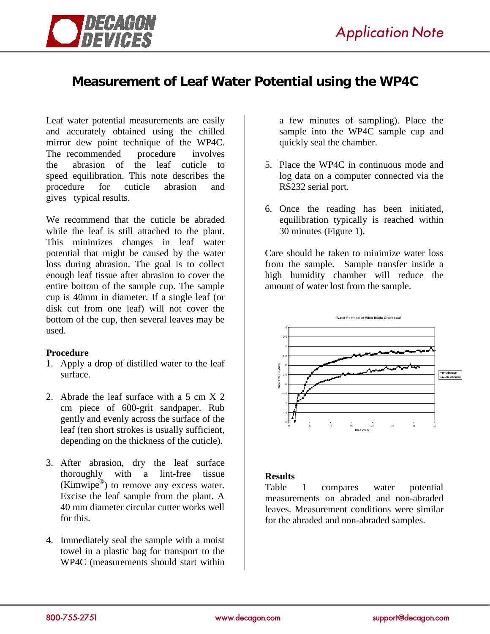

# **Measurement of Leaf Water Potential using the WP4C**

Leaf water potential measurements are easily and accurately obtained using the chilled mirror dew point technique of the WP4C. The recommended procedure involves the abrasion of the leaf cuticle to speed equilibration. This note describes the procedure for cuticle abrasion and gives typical results.

We recommend that the cuticle be abraded while the leaf is still attached to the plant. This minimizes changes in leaf water potential that might be caused by the water loss during abrasion. The goal is to collect enough leaf tissue after abrasion to cover the entire bottom of the sample cup. The sample cup is 40mm in diameter. If a single leaf (or disk cut from one leaf) will not cover the bottom of the cup, then several leaves may be used.

## **Procedure**

- 1. Apply a drop of distilled water to the leaf surface.
- 2. Abrade the leaf surface with a 5 cm X 2 cm piece of 600-grit sandpaper. Rub gently and evenly across the surface of the leaf (ten short strokes is usually sufficient, depending on the thickness of the cuticle).
- 3. After abrasion, dry the leaf surface thoroughly with a lint-free tissue (Kimwipe $^{\circledR}$ ) to remove any excess water. Excise the leaf sample from the plant. A 40 mm diameter circular cutter works well for this.
- 4. Immediately seal the sample with a moist towel in a plastic bag for transport to the WP4C (measurements should start within

a few minutes of sampling). Place the sample into the WP4C sample cup and quickly seal the chamber.

- 5. Place the WP4C in continuous mode and log data on a computer connected via the RS232 serial port.
- 6. Once the reading has been initiated, equilibration typically is reached within 30 minutes (Figure 1).

Care should be taken to minimize water loss from the sample. Sample transfer inside a high humidity chamber will reduce the amount of water lost from the sample.



## **Results**

Table 1 compares water potential measurements on abraded and non-abraded leaves. Measurement conditions were similar for the abraded and non-abraded samples.